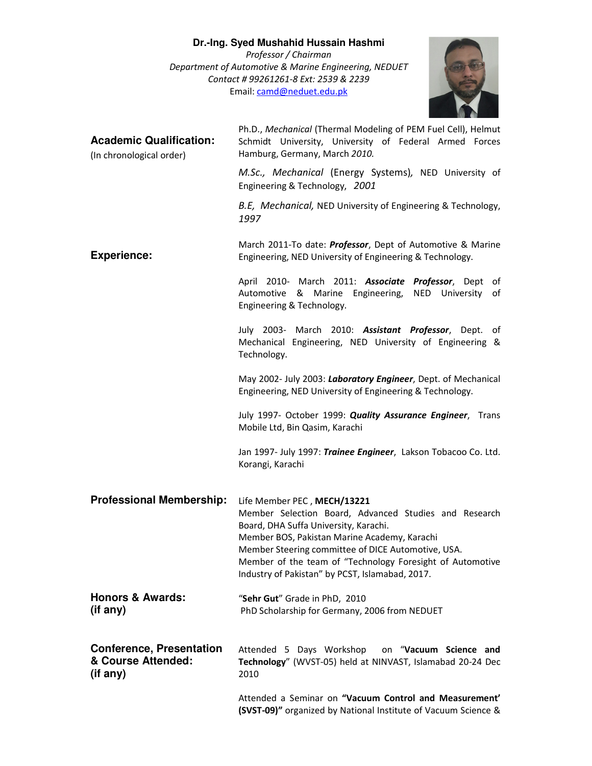## **Dr.-Ing. Syed Mushahid Hussain Hashmi**

*Professor / Chairman Department of Automotive & Marine Engineering, NEDUET Contact # 99261261-8 Ext: 2539 & 2239*  Email: camd@neduet.edu.pk



| <b>Academic Qualification:</b><br>(In chronological order)        | Ph.D., Mechanical (Thermal Modeling of PEM Fuel Cell), Helmut<br>Schmidt University, University of Federal Armed Forces<br>Hamburg, Germany, March 2010.                                                                                                                                                                                            |
|-------------------------------------------------------------------|-----------------------------------------------------------------------------------------------------------------------------------------------------------------------------------------------------------------------------------------------------------------------------------------------------------------------------------------------------|
|                                                                   | M.Sc., Mechanical (Energy Systems), NED University of<br>Engineering & Technology, 2001                                                                                                                                                                                                                                                             |
|                                                                   | B.E, Mechanical, NED University of Engineering & Technology,<br>1997                                                                                                                                                                                                                                                                                |
| <b>Experience:</b>                                                | March 2011-To date: Professor, Dept of Automotive & Marine<br>Engineering, NED University of Engineering & Technology.                                                                                                                                                                                                                              |
|                                                                   | April 2010- March 2011: Associate Professor, Dept of<br>Automotive & Marine Engineering, NED University of<br>Engineering & Technology.                                                                                                                                                                                                             |
|                                                                   | July 2003- March 2010: Assistant Professor, Dept. of<br>Mechanical Engineering, NED University of Engineering &<br>Technology.                                                                                                                                                                                                                      |
|                                                                   | May 2002- July 2003: Laboratory Engineer, Dept. of Mechanical<br>Engineering, NED University of Engineering & Technology.                                                                                                                                                                                                                           |
|                                                                   | July 1997- October 1999: Quality Assurance Engineer, Trans<br>Mobile Ltd, Bin Qasim, Karachi                                                                                                                                                                                                                                                        |
|                                                                   | Jan 1997- July 1997: Trainee Engineer, Lakson Tobacoo Co. Ltd.<br>Korangi, Karachi                                                                                                                                                                                                                                                                  |
| <b>Professional Membership:</b>                                   | Life Member PEC, MECH/13221<br>Member Selection Board, Advanced Studies and Research<br>Board, DHA Suffa University, Karachi.<br>Member BOS, Pakistan Marine Academy, Karachi<br>Member Steering committee of DICE Automotive, USA.<br>Member of the team of "Technology Foresight of Automotive<br>Industry of Pakistan" by PCST, Islamabad, 2017. |
| <b>Honors &amp; Awards:</b><br>(if any)                           | "Sehr Gut" Grade in PhD, 2010<br>PhD Scholarship for Germany, 2006 from NEDUET                                                                                                                                                                                                                                                                      |
| <b>Conference, Presentation</b><br>& Course Attended:<br>(if any) | Attended 5 Days Workshop<br>on "Vacuum Science and<br>Technology" (WVST-05) held at NINVAST, Islamabad 20-24 Dec<br>2010                                                                                                                                                                                                                            |
|                                                                   | Attended a Seminar on "Vacuum Control and Measurement'<br>(SVST-09)" organized by National Institute of Vacuum Science &                                                                                                                                                                                                                            |